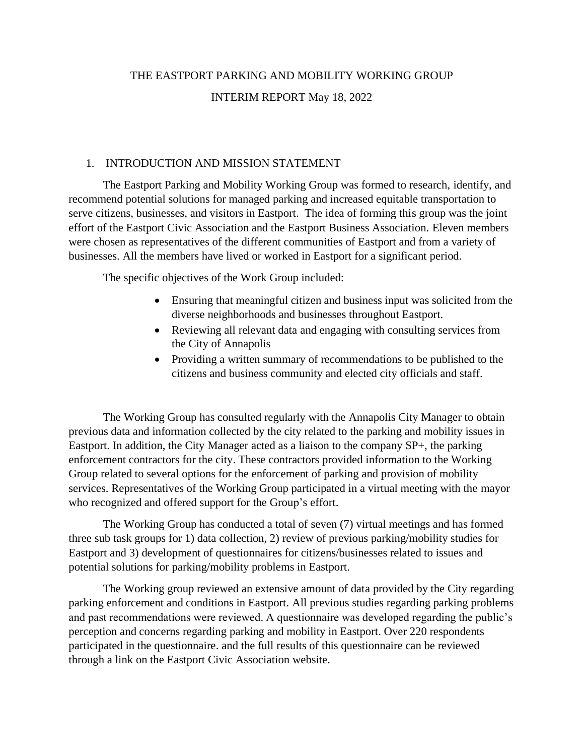# THE EASTPORT PARKING AND MOBILITY WORKING GROUP INTERIM REPORT May 18, 2022

#### 1. INTRODUCTION AND MISSION STATEMENT

The Eastport Parking and Mobility Working Group was formed to research, identify, and recommend potential solutions for managed parking and increased equitable transportation to serve citizens, businesses, and visitors in Eastport. The idea of forming this group was the joint effort of the Eastport Civic Association and the Eastport Business Association. Eleven members were chosen as representatives of the different communities of Eastport and from a variety of businesses. All the members have lived or worked in Eastport for a significant period.

The specific objectives of the Work Group included:

- Ensuring that meaningful citizen and business input was solicited from the diverse neighborhoods and businesses throughout Eastport.
- Reviewing all relevant data and engaging with consulting services from the City of Annapolis
- Providing a written summary of recommendations to be published to the citizens and business community and elected city officials and staff.

The Working Group has consulted regularly with the Annapolis City Manager to obtain previous data and information collected by the city related to the parking and mobility issues in Eastport. In addition, the City Manager acted as a liaison to the company SP+, the parking enforcement contractors for the city. These contractors provided information to the Working Group related to several options for the enforcement of parking and provision of mobility services. Representatives of the Working Group participated in a virtual meeting with the mayor who recognized and offered support for the Group's effort.

The Working Group has conducted a total of seven (7) virtual meetings and has formed three sub task groups for 1) data collection, 2) review of previous parking/mobility studies for Eastport and 3) development of questionnaires for citizens/businesses related to issues and potential solutions for parking/mobility problems in Eastport.

The Working group reviewed an extensive amount of data provided by the City regarding parking enforcement and conditions in Eastport. All previous studies regarding parking problems and past recommendations were reviewed. A questionnaire was developed regarding the public's perception and concerns regarding parking and mobility in Eastport. Over 220 respondents participated in the questionnaire. and the full results of this questionnaire can be reviewed through a link on the Eastport Civic Association website.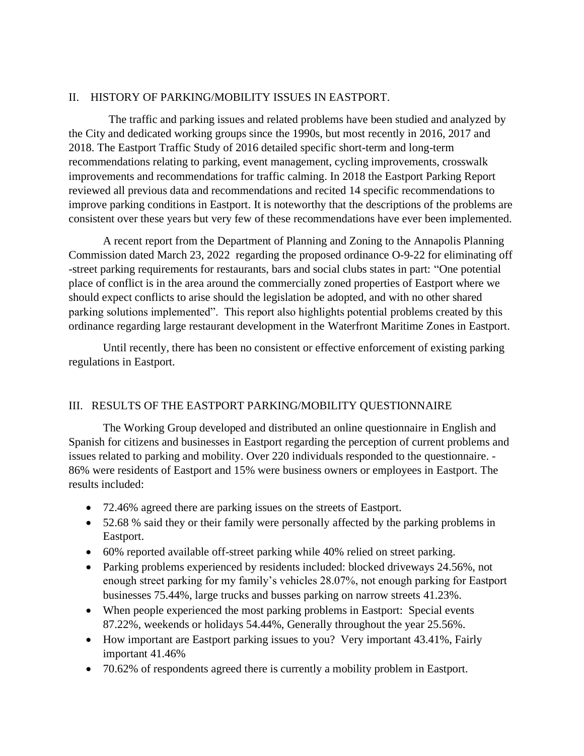### II. HISTORY OF PARKING/MOBILITY ISSUES IN EASTPORT.

 The traffic and parking issues and related problems have been studied and analyzed by the City and dedicated working groups since the 1990s, but most recently in 2016, 2017 and 2018. The Eastport Traffic Study of 2016 detailed specific short-term and long-term recommendations relating to parking, event management, cycling improvements, crosswalk improvements and recommendations for traffic calming. In 2018 the Eastport Parking Report reviewed all previous data and recommendations and recited 14 specific recommendations to improve parking conditions in Eastport. It is noteworthy that the descriptions of the problems are consistent over these years but very few of these recommendations have ever been implemented.

A recent report from the Department of Planning and Zoning to the Annapolis Planning Commission dated March 23, 2022 regarding the proposed ordinance O-9-22 for eliminating off -street parking requirements for restaurants, bars and social clubs states in part: "One potential place of conflict is in the area around the commercially zoned properties of Eastport where we should expect conflicts to arise should the legislation be adopted, and with no other shared parking solutions implemented". This report also highlights potential problems created by this ordinance regarding large restaurant development in the Waterfront Maritime Zones in Eastport.

Until recently, there has been no consistent or effective enforcement of existing parking regulations in Eastport.

#### III. RESULTS OF THE EASTPORT PARKING/MOBILITY QUESTIONNAIRE

The Working Group developed and distributed an online questionnaire in English and Spanish for citizens and businesses in Eastport regarding the perception of current problems and issues related to parking and mobility. Over 220 individuals responded to the questionnaire. - 86% were residents of Eastport and 15% were business owners or employees in Eastport. The results included:

- 72.46% agreed there are parking issues on the streets of Eastport.
- 52.68 % said they or their family were personally affected by the parking problems in Eastport.
- 60% reported available off-street parking while 40% relied on street parking.
- Parking problems experienced by residents included: blocked driveways 24.56%, not enough street parking for my family's vehicles 28.07%, not enough parking for Eastport businesses 75.44%, large trucks and busses parking on narrow streets 41.23%.
- When people experienced the most parking problems in Eastport: Special events 87.22%, weekends or holidays 54.44%, Generally throughout the year 25.56%.
- How important are Eastport parking issues to you? Very important 43.41%, Fairly important 41.46%
- 70.62% of respondents agreed there is currently a mobility problem in Eastport.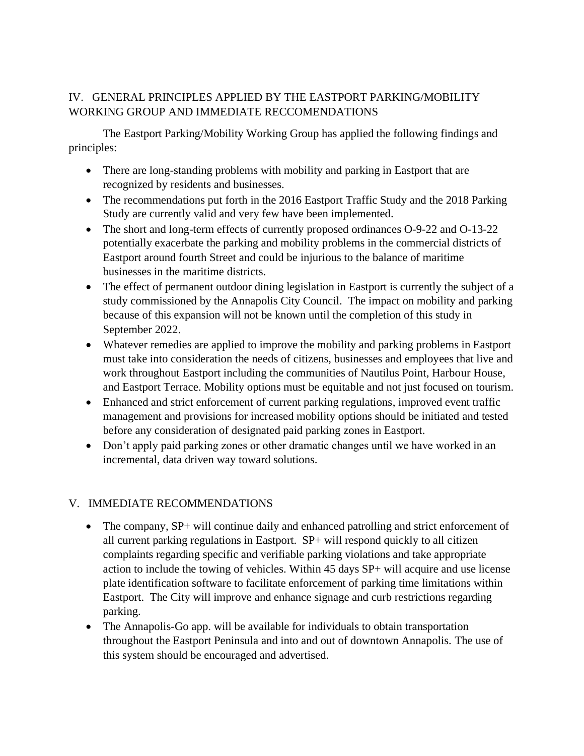## IV. GENERAL PRINCIPLES APPLIED BY THE EASTPORT PARKING/MOBILITY WORKING GROUP AND IMMEDIATE RECCOMENDATIONS

The Eastport Parking/Mobility Working Group has applied the following findings and principles:

- There are long-standing problems with mobility and parking in Eastport that are recognized by residents and businesses.
- The recommendations put forth in the 2016 Eastport Traffic Study and the 2018 Parking Study are currently valid and very few have been implemented.
- The short and long-term effects of currently proposed ordinances O-9-22 and O-13-22 potentially exacerbate the parking and mobility problems in the commercial districts of Eastport around fourth Street and could be injurious to the balance of maritime businesses in the maritime districts.
- The effect of permanent outdoor dining legislation in Eastport is currently the subject of a study commissioned by the Annapolis City Council. The impact on mobility and parking because of this expansion will not be known until the completion of this study in September 2022.
- Whatever remedies are applied to improve the mobility and parking problems in Eastport must take into consideration the needs of citizens, businesses and employees that live and work throughout Eastport including the communities of Nautilus Point, Harbour House, and Eastport Terrace. Mobility options must be equitable and not just focused on tourism.
- Enhanced and strict enforcement of current parking regulations, improved event traffic management and provisions for increased mobility options should be initiated and tested before any consideration of designated paid parking zones in Eastport.
- Don't apply paid parking zones or other dramatic changes until we have worked in an incremental, data driven way toward solutions.

## V. IMMEDIATE RECOMMENDATIONS

- The company, SP+ will continue daily and enhanced patrolling and strict enforcement of all current parking regulations in Eastport. SP+ will respond quickly to all citizen complaints regarding specific and verifiable parking violations and take appropriate action to include the towing of vehicles. Within 45 days SP+ will acquire and use license plate identification software to facilitate enforcement of parking time limitations within Eastport. The City will improve and enhance signage and curb restrictions regarding parking.
- The Annapolis-Go app. will be available for individuals to obtain transportation throughout the Eastport Peninsula and into and out of downtown Annapolis. The use of this system should be encouraged and advertised.